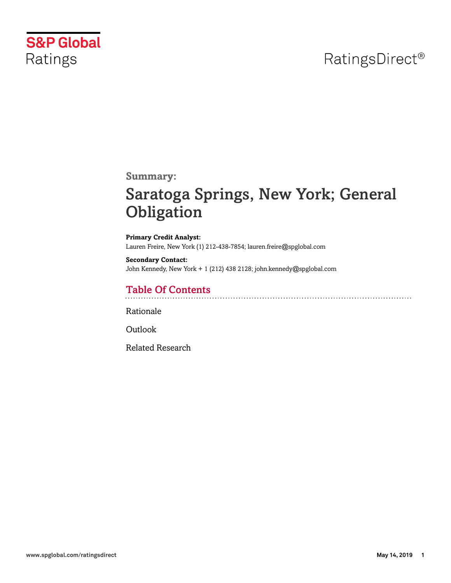## RatingsDirect<sup>®</sup>



**Summary:**

# Saratoga Springs, New York; General **Obligation**

**Primary Credit Analyst:** Lauren Freire, New York (1) 212-438-7854; lauren.freire@spglobal.com

**Secondary Contact:** John Kennedy, New York + 1 (212) 438 2128; john.kennedy@spglobal.com

## Table Of Contents

[Rationale](#page-1-0)

[Outlook](#page-4-0)

[Related Research](#page-5-0)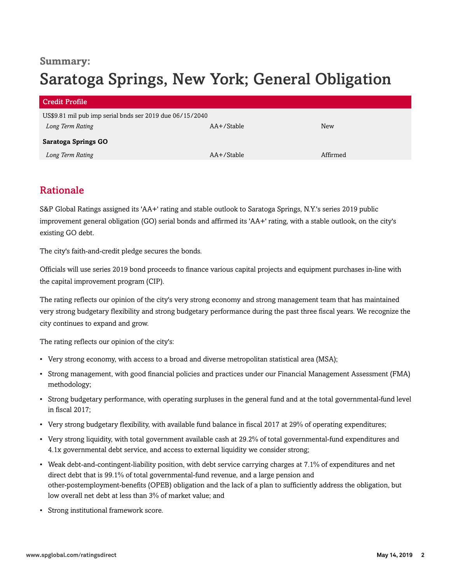## **Summary:**

# Saratoga Springs, New York; General Obligation

| <b>Credit Profile</b>                                    |            |            |
|----------------------------------------------------------|------------|------------|
| US\$9.81 mil pub imp serial bnds ser 2019 due 06/15/2040 |            |            |
| Long Term Rating                                         | AA+/Stable | <b>New</b> |
| <b>Saratoga Springs GO</b>                               |            |            |
| Long Term Rating                                         | AA+/Stable | Affirmed   |

## <span id="page-1-0"></span>Rationale

S&P Global Ratings assigned its 'AA+' rating and stable outlook to Saratoga Springs, N.Y.'s series 2019 public improvement general obligation (GO) serial bonds and affirmed its 'AA+' rating, with a stable outlook, on the city's existing GO debt.

The city's faith-and-credit pledge secures the bonds.

Officials will use series 2019 bond proceeds to finance various capital projects and equipment purchases in-line with the capital improvement program (CIP).

The rating reflects our opinion of the city's very strong economy and strong management team that has maintained very strong budgetary flexibility and strong budgetary performance during the past three fiscal years. We recognize the city continues to expand and grow.

The rating reflects our opinion of the city's:

- Very strong economy, with access to a broad and diverse metropolitan statistical area (MSA);
- Strong management, with good financial policies and practices under our Financial Management Assessment (FMA) methodology;
- Strong budgetary performance, with operating surpluses in the general fund and at the total governmental-fund level in fiscal 2017;
- Very strong budgetary flexibility, with available fund balance in fiscal 2017 at 29% of operating expenditures;
- Very strong liquidity, with total government available cash at 29.2% of total governmental-fund expenditures and 4.1x governmental debt service, and access to external liquidity we consider strong;
- Weak debt-and-contingent-liability position, with debt service carrying charges at 7.1% of expenditures and net direct debt that is 99.1% of total governmental-fund revenue, and a large pension and other-postemployment-benefits (OPEB) obligation and the lack of a plan to sufficiently address the obligation, but low overall net debt at less than 3% of market value; and
- Strong institutional framework score.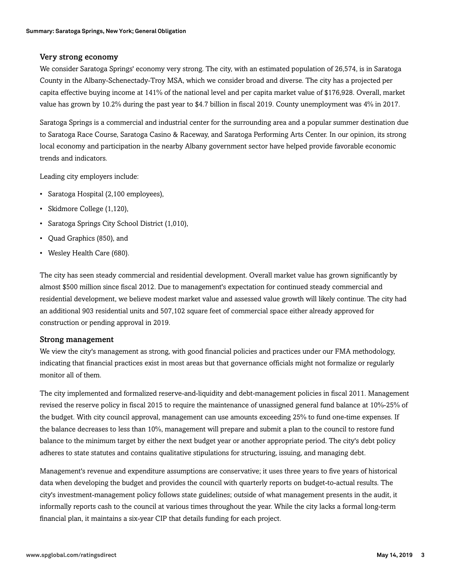#### Very strong economy

We consider Saratoga Springs' economy very strong. The city, with an estimated population of 26,574, is in Saratoga County in the Albany-Schenectady-Troy MSA, which we consider broad and diverse. The city has a projected per capita effective buying income at 141% of the national level and per capita market value of \$176,928. Overall, market value has grown by 10.2% during the past year to \$4.7 billion in fiscal 2019. County unemployment was 4% in 2017.

Saratoga Springs is a commercial and industrial center for the surrounding area and a popular summer destination due to Saratoga Race Course, Saratoga Casino & Raceway, and Saratoga Performing Arts Center. In our opinion, its strong local economy and participation in the nearby Albany government sector have helped provide favorable economic trends and indicators.

Leading city employers include:

- Saratoga Hospital (2,100 employees),
- Skidmore College (1,120),
- Saratoga Springs City School District (1,010),
- Quad Graphics (850), and
- Wesley Health Care (680).

The city has seen steady commercial and residential development. Overall market value has grown significantly by almost \$500 million since fiscal 2012. Due to management's expectation for continued steady commercial and residential development, we believe modest market value and assessed value growth will likely continue. The city had an additional 903 residential units and 507,102 square feet of commercial space either already approved for construction or pending approval in 2019.

#### Strong management

We view the city's management as strong, with good financial policies and practices under our FMA methodology, indicating that financial practices exist in most areas but that governance officials might not formalize or regularly monitor all of them.

The city implemented and formalized reserve-and-liquidity and debt-management policies in fiscal 2011. Management revised the reserve policy in fiscal 2015 to require the maintenance of unassigned general fund balance at 10%-25% of the budget. With city council approval, management can use amounts exceeding 25% to fund one-time expenses. If the balance decreases to less than 10%, management will prepare and submit a plan to the council to restore fund balance to the minimum target by either the next budget year or another appropriate period. The city's debt policy adheres to state statutes and contains qualitative stipulations for structuring, issuing, and managing debt.

Management's revenue and expenditure assumptions are conservative; it uses three years to five years of historical data when developing the budget and provides the council with quarterly reports on budget-to-actual results. The city's investment-management policy follows state guidelines; outside of what management presents in the audit, it informally reports cash to the council at various times throughout the year. While the city lacks a formal long-term financial plan, it maintains a six-year CIP that details funding for each project.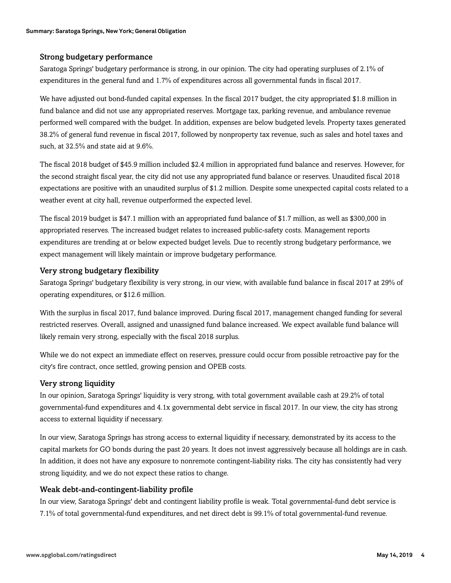#### Strong budgetary performance

Saratoga Springs' budgetary performance is strong, in our opinion. The city had operating surpluses of 2.1% of expenditures in the general fund and 1.7% of expenditures across all governmental funds in fiscal 2017.

We have adjusted out bond-funded capital expenses. In the fiscal 2017 budget, the city appropriated \$1.8 million in fund balance and did not use any appropriated reserves. Mortgage tax, parking revenue, and ambulance revenue performed well compared with the budget. In addition, expenses are below budgeted levels. Property taxes generated 38.2% of general fund revenue in fiscal 2017, followed by nonproperty tax revenue, such as sales and hotel taxes and such, at 32.5% and state aid at 9.6%.

The fiscal 2018 budget of \$45.9 million included \$2.4 million in appropriated fund balance and reserves. However, for the second straight fiscal year, the city did not use any appropriated fund balance or reserves. Unaudited fiscal 2018 expectations are positive with an unaudited surplus of \$1.2 million. Despite some unexpected capital costs related to a weather event at city hall, revenue outperformed the expected level.

The fiscal 2019 budget is \$47.1 million with an appropriated fund balance of \$1.7 million, as well as \$300,000 in appropriated reserves. The increased budget relates to increased public-safety costs. Management reports expenditures are trending at or below expected budget levels. Due to recently strong budgetary performance, we expect management will likely maintain or improve budgetary performance.

#### Very strong budgetary flexibility

Saratoga Springs' budgetary flexibility is very strong, in our view, with available fund balance in fiscal 2017 at 29% of operating expenditures, or \$12.6 million.

With the surplus in fiscal 2017, fund balance improved. During fiscal 2017, management changed funding for several restricted reserves. Overall, assigned and unassigned fund balance increased. We expect available fund balance will likely remain very strong, especially with the fiscal 2018 surplus.

While we do not expect an immediate effect on reserves, pressure could occur from possible retroactive pay for the city's fire contract, once settled, growing pension and OPEB costs.

#### Very strong liquidity

In our opinion, Saratoga Springs' liquidity is very strong, with total government available cash at 29.2% of total governmental-fund expenditures and 4.1x governmental debt service in fiscal 2017. In our view, the city has strong access to external liquidity if necessary.

In our view, Saratoga Springs has strong access to external liquidity if necessary, demonstrated by its access to the capital markets for GO bonds during the past 20 years. It does not invest aggressively because all holdings are in cash. In addition, it does not have any exposure to nonremote contingent-liability risks. The city has consistently had very strong liquidity, and we do not expect these ratios to change.

#### Weak debt-and-contingent-liability profile

In our view, Saratoga Springs' debt and contingent liability profile is weak. Total governmental-fund debt service is 7.1% of total governmental-fund expenditures, and net direct debt is 99.1% of total governmental-fund revenue.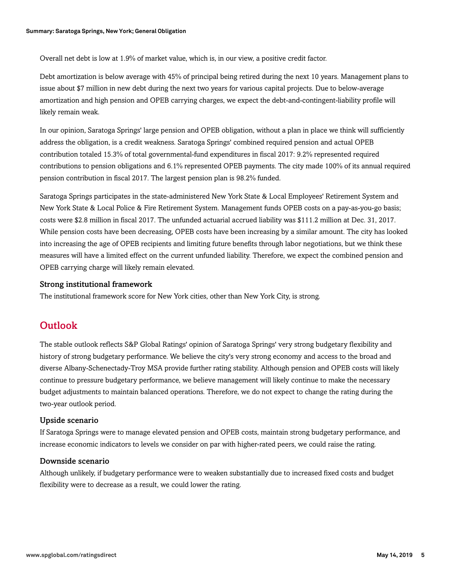Overall net debt is low at 1.9% of market value, which is, in our view, a positive credit factor.

Debt amortization is below average with 45% of principal being retired during the next 10 years. Management plans to issue about \$7 million in new debt during the next two years for various capital projects. Due to below-average amortization and high pension and OPEB carrying charges, we expect the debt-and-contingent-liability profile will likely remain weak.

In our opinion, Saratoga Springs' large pension and OPEB obligation, without a plan in place we think will sufficiently address the obligation, is a credit weakness. Saratoga Springs' combined required pension and actual OPEB contribution totaled 15.3% of total governmental-fund expenditures in fiscal 2017: 9.2% represented required contributions to pension obligations and 6.1% represented OPEB payments. The city made 100% of its annual required pension contribution in fiscal 2017. The largest pension plan is 98.2% funded.

Saratoga Springs participates in the state-administered New York State & Local Employees' Retirement System and New York State & Local Police & Fire Retirement System. Management funds OPEB costs on a pay-as-you-go basis; costs were \$2.8 million in fiscal 2017. The unfunded actuarial accrued liability was \$111.2 million at Dec. 31, 2017. While pension costs have been decreasing, OPEB costs have been increasing by a similar amount. The city has looked into increasing the age of OPEB recipients and limiting future benefits through labor negotiations, but we think these measures will have a limited effect on the current unfunded liability. Therefore, we expect the combined pension and OPEB carrying charge will likely remain elevated.

#### Strong institutional framework

<span id="page-4-0"></span>The institutional framework score for New York cities, other than New York City, is strong.

### **Outlook**

The stable outlook reflects S&P Global Ratings' opinion of Saratoga Springs' very strong budgetary flexibility and history of strong budgetary performance. We believe the city's very strong economy and access to the broad and diverse Albany-Schenectady-Troy MSA provide further rating stability. Although pension and OPEB costs will likely continue to pressure budgetary performance, we believe management will likely continue to make the necessary budget adjustments to maintain balanced operations. Therefore, we do not expect to change the rating during the two-year outlook period.

#### Upside scenario

If Saratoga Springs were to manage elevated pension and OPEB costs, maintain strong budgetary performance, and increase economic indicators to levels we consider on par with higher-rated peers, we could raise the rating.

#### Downside scenario

Although unlikely, if budgetary performance were to weaken substantially due to increased fixed costs and budget flexibility were to decrease as a result, we could lower the rating.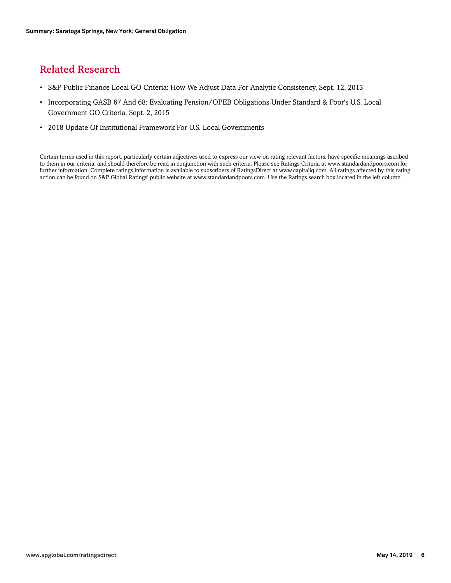## <span id="page-5-0"></span>Related Research

- S&P Public Finance Local GO Criteria: How We Adjust Data For Analytic Consistency, Sept. 12, 2013
- Incorporating GASB 67 And 68: Evaluating Pension/OPEB Obligations Under Standard & Poor's U.S. Local Government GO Criteria, Sept. 2, 2015
- 2018 Update Of Institutional Framework For U.S. Local Governments

Certain terms used in this report, particularly certain adjectives used to express our view on rating relevant factors, have specific meanings ascribed to them in our criteria, and should therefore be read in conjunction with such criteria. Please see Ratings Criteria at www.standardandpoors.com for further information. Complete ratings information is available to subscribers of RatingsDirect at www.capitaliq.com. All ratings affected by this rating action can be found on S&P Global Ratings' public website at www.standardandpoors.com. Use the Ratings search box located in the left column.